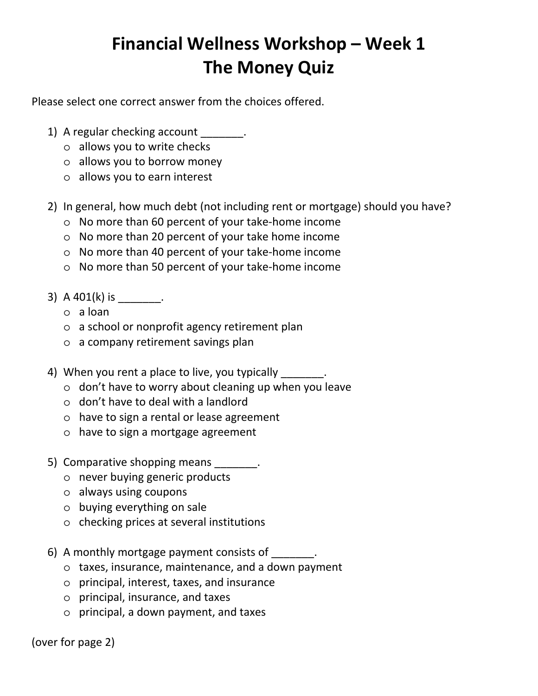## **Financial Wellness Workshop – Week 1 The Money Quiz**

Please select one correct answer from the choices offered.

- 1) A regular checking account \_\_\_\_\_\_\_.
	- o allows you to write checks
	- o allows you to borrow money
	- o allows you to earn interest
- 2) In general, how much debt (not including rent or mortgage) should you have?
	- o No more than 60 percent of your take‐home income
	- o No more than 20 percent of your take home income
	- o No more than 40 percent of your take‐home income
	- o No more than 50 percent of your take‐home income
- 3) A 401(k) is \_\_\_\_\_\_\_.
	- o a loan
	- o a school or nonprofit agency retirement plan
	- o a company retirement savings plan
- 4) When you rent a place to live, you typically  $\blacksquare$ .
	- o don't have to worry about cleaning up when you leave
	- o don't have to deal with a landlord
	- o have to sign a rental or lease agreement
	- o have to sign a mortgage agreement
- 5) Comparative shopping means  $\blacksquare$ .
	- o never buying generic products
	- o always using coupons
	- o buying everything on sale
	- o checking prices at several institutions
- 6) A monthly mortgage payment consists of \_\_\_\_\_\_\_.
	- o taxes, insurance, maintenance, and a down payment
	- o principal, interest, taxes, and insurance
	- o principal, insurance, and taxes
	- o principal, a down payment, and taxes

(over for page 2)